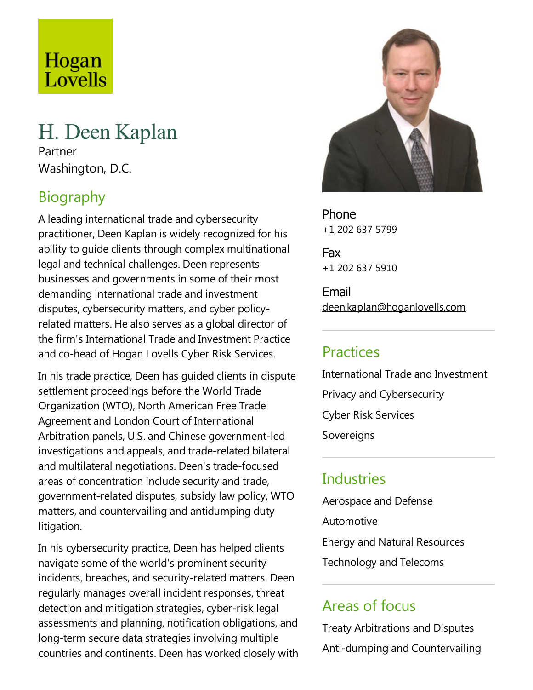# Hogan Lovells

## H. Deen Kaplan

Partner Washington, D.C.

## Biography

A leading international trade and cybersecurity practitioner, Deen Kaplan is widely recognized for his ability to quide clients through complex multinational legal and technical challenges. Deen represents businesses and governments in some of their most demanding international trade and investment disputes, cybersecurity matters, and cyber policyrelated matters. He also serves as a global director of the firm's International Trade and Investment Practice and co-head of Hogan Lovells Cyber Risk Services.

In his trade practice, Deen has guided clients in dispute settlement proceedings before the World Trade Organization (WTO), North American FreeTrade Agreement and London Court of International Arbitration panels, U.S. and Chinese government-led investigations and appeals, and trade-related bilateral and multilateral negotiations. Deen's trade-focused areas of concentration include security and trade, government-related disputes, subsidy law policy, WTO matters, and countervailing and antidumping duty litigation.

In his cybersecurity practice, Deen has helped clients navigate some of the world's prominent security incidents, breaches, and security-related matters. Deen regularly manages overall incident responses, threat detection and mitigation strategies, cyber-risk legal assessments and planning, notification obligations, and long-term secure data strategies involving multiple countries and continents. Deen has worked closely with



Phone +1 202 637 5799

Fax +1 202 637 5910

Email deen.kaplan@hoganlovells.com

## Practices

International Trade and Investment Privacy and Cybersecurity Cyber Risk Services Sovereigns

## **Industries**

Aerospace and Defense Automotive Energy and Natural Resources Technology and Telecoms

## Areas of focus

Treaty Arbitrations and Disputes Anti-dumping and Countervailing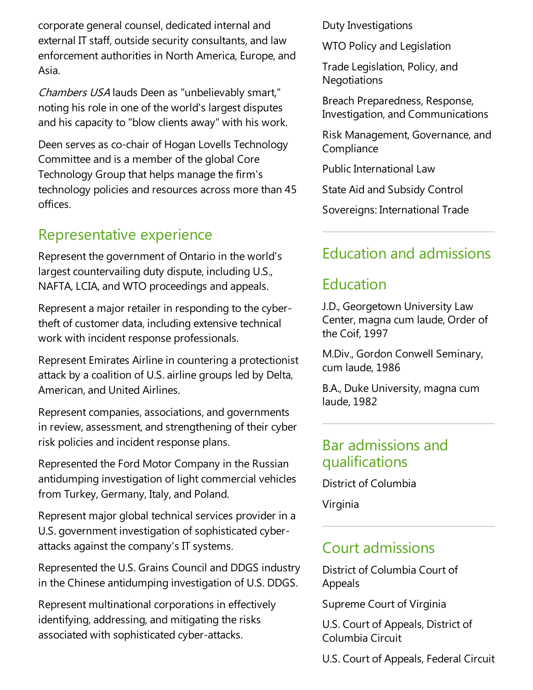corporate general counsel, dedicated internal and external IT staff, outside security consultants, and law enforcement authorities in North America, Europe, and Asia.

Chambers USA lauds Deen as "unbelievably smart," noting his role in one of the world's largest disputes and his capacity to "blow clients away" with his work.

Deen serves as co-chair of Hogan Lovells Technology Committee and is a member of the global Core Technology Group that helps manage the firm's technology policies and resources across more than 45 offices.

## Representative experience

Represent the government of Ontario in the world's largest countervailing duty dispute, including U.S., NAFTA, LCIA, and WTO proceedings and appeals.

Represent a major retailer in responding to the cybertheft of customer data, including extensive technical work with incident response professionals.

Represent Emirates Airline in countering a protectionist attack by a coalition of U.S. airline groups led by Delta, American, and United Airlines.

Represent companies, associations, and governments in review, assessment, and strengthening of their cyber risk policies and incident response plans.

Represented the Ford Motor Company in the Russian antidumping investigation of light commercial vehicles from Turkey, Germany, Italy, and Poland.

Represent major global technical services provider in a U.S. government investigation of sophisticated cyberattacks against the company's IT systems.

Represented the U.S. Grains Council and DDGS industry in the Chinese antidumping investigation of U.S. DDGS.

Represent multinational corporations in effectively identifying, addressing, and mitigating the risks associated with sophisticated cyber-attacks.

Duty Investigations

WTO Policy and Legislation

Trade Legislation, Policy, and **Negotiations** 

Breach Preparedness, Response, Investigation, and Communications

Risk Management, Governance, and **Compliance** 

Public International Law

State Aid and Subsidy Control

Sovereigns: International Trade

## Education and admissions

## Education

J.D., Georgetown University Law Center, magna cum laude, Order of the Coif, 1997

M.Div., Gordon Conwell Seminary, cum laude, 1986

B.A., Duke University, magna cum laude, 1982

#### Bar admissions and qualifications

District of Columbia

Virginia

#### Court admissions

District of Columbia Court of Appeals

Supreme Court of Virginia

U.S. Court of Appeals, District of Columbia Circuit

U.S. Court of Appeals, Federal Circuit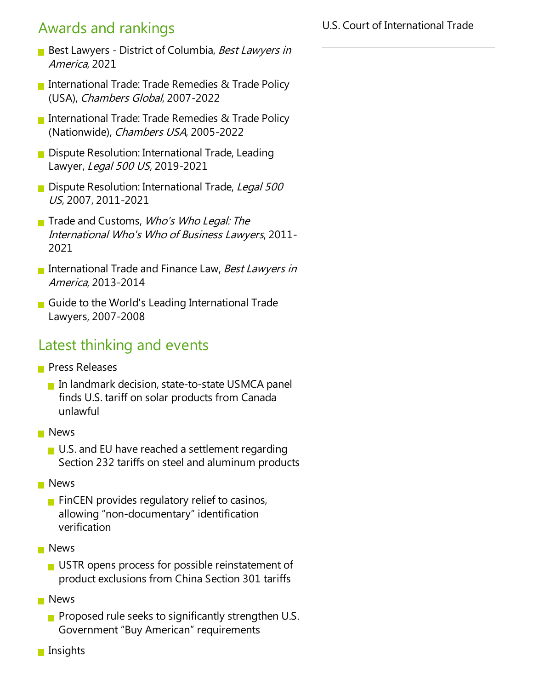## Awards and rankings

- Best Lawyers District of Columbia, Best Lawyers in America, 2021
- International Trade: Trade Remedies & Trade Policy (USA), Chambers Global, 2007-2022
- International Trade: Trade Remedies & Trade Policy (Nationwide), Chambers USA, 2005-2022
- Dispute Resolution: International Trade, Leading Lawyer, Legal 500 US, 2019-2021
- **Dispute Resolution: International Trade, Legal 500** US, 2007, 2011-2021
- Trade and Customs, Who's Who Legal: The International Who's Who of Business Lawyers, 2011- 2021
- International Trade and Finance Law, Best Lawyers in America, 2013-2014
- Guide to the World's Leading International Trade Lawyers, 2007-2008

#### Latest thinking and events

- **Press Releases** 
	- **In landmark decision, state-to-state USMCA panel** finds U.S. tariff on solar products from Canada unlawful
- **News** 
	- $\blacksquare$  U.S. and EU have reached a settlement regarding Section 232 tariffs on steel and aluminum products
- **News** 
	- $\blacksquare$  FinCEN provides regulatory relief to casinos, allowing "non-documentary" identification verification
- **News** 
	- $\blacksquare$  USTR opens process for possible reinstatement of product exclusions from China Section 301 tariffs
- **News** 
	- **Proposed rule seeks to significantly strengthen U.S.** Government "Buy American" requirements
- $\blacksquare$  Insights